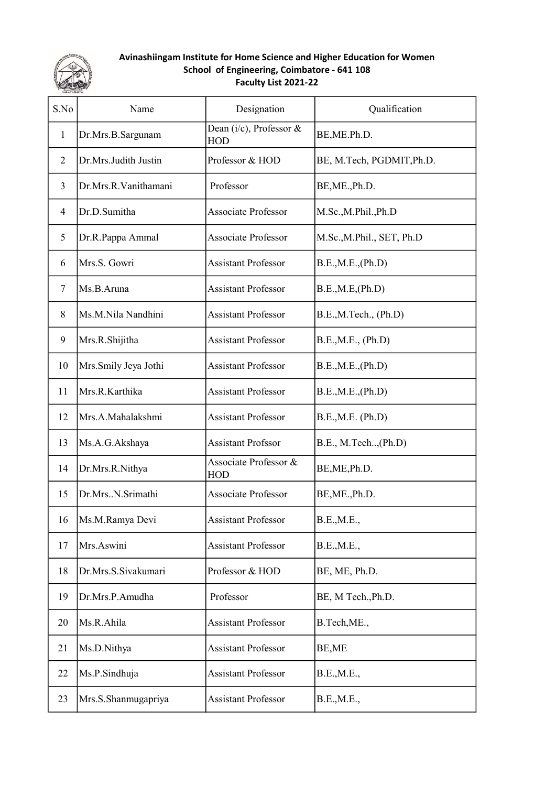

## Avinashiingam Institute for Home Science and Higher Education for Women School of Engineering, Coimbatore - 641 108 Faculty List 2021-22

| S.No           | Name                 | Designation                           | Qualification             |
|----------------|----------------------|---------------------------------------|---------------------------|
| $\mathbf{1}$   | Dr.Mrs.B.Sargunam    | Dean (i/c), Professor &<br><b>HOD</b> | BE, ME.Ph.D.              |
| $\overline{2}$ | Dr.Mrs.Judith Justin | Professor & HOD                       | BE, M.Tech, PGDMIT, Ph.D. |
| 3              | Dr.Mrs.R.Vanithamani | Professor                             | BE, ME., Ph.D.            |
| 4              | Dr.D.Sumitha         | <b>Associate Professor</b>            | M.Sc., M.Phil., Ph.D      |
| 5              | Dr.R.Pappa Ammal     | <b>Associate Professor</b>            | M.Sc., M.Phil., SET, Ph.D |
| 6              | Mrs.S. Gowri         | <b>Assistant Professor</b>            | B.E., M.E., (Ph.D)        |
| 7              | Ms.B.Aruna           | <b>Assistant Professor</b>            | B.E., M.E., (Ph.D)        |
| 8              | Ms.M.Nila Nandhini   | <b>Assistant Professor</b>            | B.E., M.Tech., (Ph.D)     |
| 9              | Mrs.R.Shijitha       | <b>Assistant Professor</b>            | B.E., M.E., (Ph.D)        |
| 10             | Mrs.Smily Jeya Jothi | <b>Assistant Professor</b>            | B.E., M.E., (Ph.D)        |
| 11             | Mrs.R.Karthika       | <b>Assistant Professor</b>            | B.E., M.E., (Ph.D)        |
| 12             | Mrs.A.Mahalakshmi    | <b>Assistant Professor</b>            | B.E., M.E. (Ph.D)         |
| 13             | Ms.A.G.Akshaya       | <b>Assistant Profssor</b>             | B.E., M.Tech, (Ph.D)      |
| 14             | Dr.Mrs.R.Nithya      | Associate Professor &<br><b>HOD</b>   | BE, ME, Ph.D.             |
| 15             | Dr.MrsN.Srimathi     | <b>Associate Professor</b>            | BE, ME., Ph.D.            |
| 16             | Ms.M.Ramya Devi      | <b>Assistant Professor</b>            | B.E., M.E.,               |
| 17             | Mrs.Aswini           | <b>Assistant Professor</b>            | B.E., M.E.,               |
| 18             | Dr.Mrs.S.Sivakumari  | Professor & HOD                       | BE, ME, Ph.D.             |
| 19             | Dr.Mrs.P.Amudha      | Professor                             | BE, M Tech., Ph.D.        |
| 20             | Ms.R.Ahila           | <b>Assistant Professor</b>            | B.Tech, ME.,              |
| 21             | Ms.D.Nithya          | <b>Assistant Professor</b>            | BE, ME                    |
| 22             | Ms.P.Sindhuja        | <b>Assistant Professor</b>            | B.E., M.E.,               |
| 23             | Mrs.S.Shanmugapriya  | <b>Assistant Professor</b>            | B.E., M.E.,               |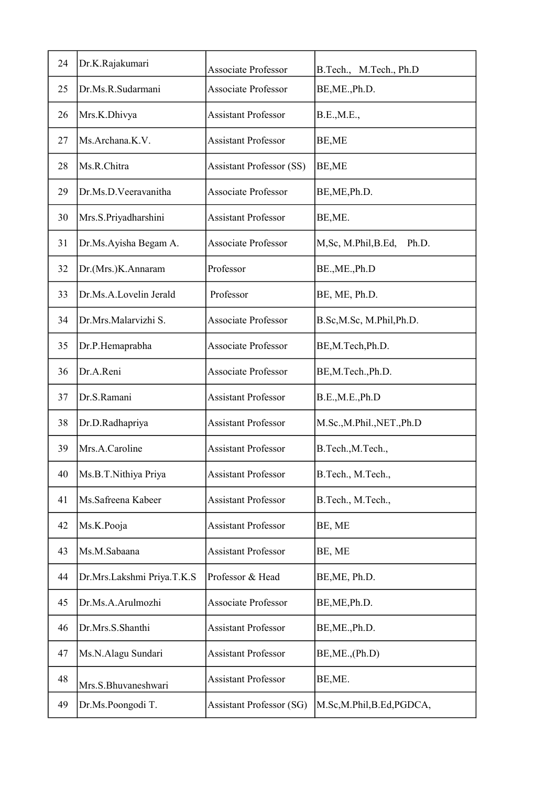| 24 | Dr.K.Rajakumari            | Associate Professor             | B.Tech., M.Tech., Ph.D          |
|----|----------------------------|---------------------------------|---------------------------------|
| 25 | Dr.Ms.R.Sudarmani          | <b>Associate Professor</b>      | BE, ME., Ph.D.                  |
| 26 | Mrs.K.Dhivya               | <b>Assistant Professor</b>      | B.E., M.E.,                     |
| 27 | Ms.Archana.K.V.            | <b>Assistant Professor</b>      | BE, ME                          |
| 28 | Ms.R.Chitra                | <b>Assistant Professor (SS)</b> | BE, ME                          |
| 29 | Dr.Ms.D.Veeravanitha       | <b>Associate Professor</b>      | BE, ME, Ph.D.                   |
| 30 | Mrs.S.Priyadharshini       | <b>Assistant Professor</b>      | BE, ME.                         |
| 31 | Dr.Ms.Ayisha Begam A.      | <b>Associate Professor</b>      | M, Sc, M. Phil, B. Ed,<br>Ph.D. |
| 32 | Dr.(Mrs.)K.Annaram         | Professor                       | BE., ME., Ph.D                  |
| 33 | Dr.Ms.A.Lovelin Jerald     | Professor                       | BE, ME, Ph.D.                   |
| 34 | Dr.Mrs.Malarvizhi S.       | <b>Associate Professor</b>      | B.Sc,M.Sc, M.Phil,Ph.D.         |
| 35 | Dr.P.Hemaprabha            | <b>Associate Professor</b>      | BE, M. Tech, Ph.D.              |
| 36 | Dr.A.Reni                  | <b>Associate Professor</b>      | BE, M. Tech., Ph.D.             |
| 37 | Dr.S.Ramani                | <b>Assistant Professor</b>      | B.E., M.E., Ph.D                |
| 38 | Dr.D.Radhapriya            | <b>Assistant Professor</b>      | M.Sc., M.Phil., NET., Ph.D      |
| 39 | Mrs.A.Caroline             | <b>Assistant Professor</b>      | B.Tech., M.Tech.,               |
| 40 | Ms.B.T.Nithiya Priya       | <b>Assistant Professor</b>      | B.Tech., M.Tech.,               |
| 41 | Ms.Safreena Kabeer         | <b>Assistant Professor</b>      | B.Tech., M.Tech.,               |
| 42 | Ms.K.Pooja                 | <b>Assistant Professor</b>      | BE, ME                          |
| 43 | Ms.M.Sabaana               | <b>Assistant Professor</b>      | BE, ME                          |
| 44 | Dr.Mrs.Lakshmi Priya.T.K.S | Professor & Head                | BE, ME, Ph.D.                   |
| 45 | Dr.Ms.A.Arulmozhi          | <b>Associate Professor</b>      | BE, ME, Ph.D.                   |
| 46 | Dr.Mrs.S.Shanthi           | <b>Assistant Professor</b>      | BE, ME., Ph.D.                  |
| 47 | Ms.N.Alagu Sundari         | <b>Assistant Professor</b>      | BE, ME., (Ph.D)                 |
| 48 | Mrs.S.Bhuvaneshwari        | <b>Assistant Professor</b>      | BE, ME.                         |
| 49 | Dr.Ms.Poongodi T.          | <b>Assistant Professor (SG)</b> | M.Sc,M.Phil,B.Ed,PGDCA,         |